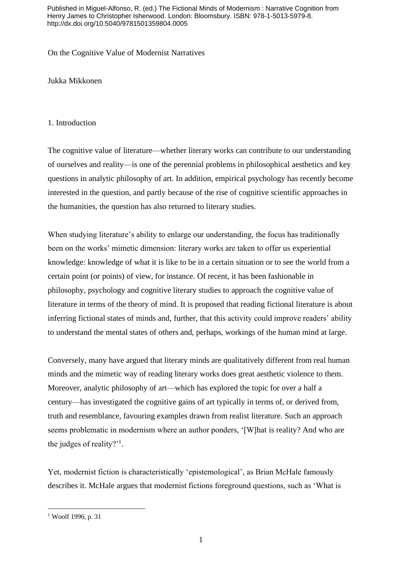Published in Miguel-Alfonso, R. (ed.) The Fictional Minds of Modernism : Narrative Cognition from Henry James to Christopher Isherwood. London: Bloomsbury. ISBN: 978-1-5013-5979-8. http://dx.doi.org/10.5040/9781501359804.0005

On the Cognitive Value of Modernist Narratives

Jukka Mikkonen

# 1. Introduction

The cognitive value of literature—whether literary works can contribute to our understanding of ourselves and reality—is one of the perennial problems in philosophical aesthetics and key questions in analytic philosophy of art. In addition, empirical psychology has recently become interested in the question, and partly because of the rise of cognitive scientific approaches in the humanities, the question has also returned to literary studies.

When studying literature's ability to enlarge our understanding, the focus has traditionally been on the works' mimetic dimension: literary works are taken to offer us experiential knowledge: knowledge of what it is like to be in a certain situation or to see the world from a certain point (or points) of view, for instance. Of recent, it has been fashionable in philosophy, psychology and cognitive literary studies to approach the cognitive value of literature in terms of the theory of mind. It is proposed that reading fictional literature is about inferring fictional states of minds and, further, that this activity could improve readers' ability to understand the mental states of others and, perhaps, workings of the human mind at large.

Conversely, many have argued that literary minds are qualitatively different from real human minds and the mimetic way of reading literary works does great aesthetic violence to them. Moreover, analytic philosophy of art—which has explored the topic for over a half a century—has investigated the cognitive gains of art typically in terms of, or derived from, truth and resemblance, favouring examples drawn from realist literature. Such an approach seems problematic in modernism where an author ponders, '[W]hat is reality? And who are the judges of reality?'<sup>1</sup>.

Yet, modernist fiction is characteristically 'epistemological', as Brian McHale famously describes it. McHale argues that modernist fictions foreground questions, such as 'What is

<sup>1</sup> Woolf 1996, p. 31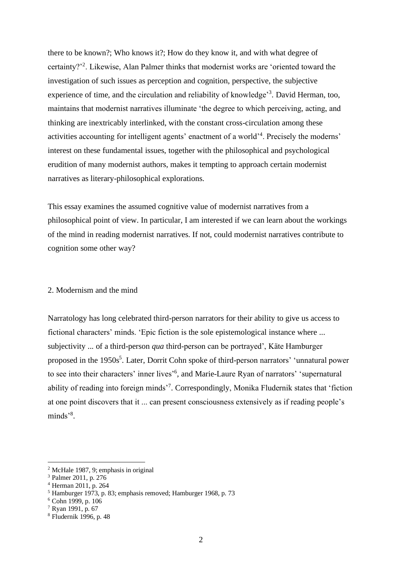there to be known?; Who knows it?; How do they know it, and with what degree of certainty?'<sup>2</sup> . Likewise, Alan Palmer thinks that modernist works are 'oriented toward the investigation of such issues as perception and cognition, perspective, the subjective experience of time, and the circulation and reliability of knowledge<sup>3</sup>. David Herman, too, maintains that modernist narratives illuminate 'the degree to which perceiving, acting, and thinking are inextricably interlinked, with the constant cross-circulation among these activities accounting for intelligent agents' enactment of a world<sup>14</sup>. Precisely the moderns' interest on these fundamental issues, together with the philosophical and psychological erudition of many modernist authors, makes it tempting to approach certain modernist narratives as literary-philosophical explorations.

This essay examines the assumed cognitive value of modernist narratives from a philosophical point of view. In particular, I am interested if we can learn about the workings of the mind in reading modernist narratives. If not, could modernist narratives contribute to cognition some other way?

## 2. Modernism and the mind

Narratology has long celebrated third-person narrators for their ability to give us access to fictional characters' minds. 'Epic fiction is the sole epistemological instance where ... subjectivity ... of a third-person *qua* third-person can be portrayed', Käte Hamburger proposed in the 1950s<sup>5</sup>. Later, Dorrit Cohn spoke of third-person narrators' 'unnatural power to see into their characters' inner lives<sup>'6</sup>, and Marie-Laure Ryan of narrators' 'supernatural ability of reading into foreign minds<sup>7</sup>. Correspondingly, Monika Fludernik states that 'fiction at one point discovers that it ... can present consciousness extensively as if reading people's minds'<sup>8</sup>.

<sup>2</sup> McHale 1987, 9; emphasis in original

<sup>3</sup> Palmer 2011, p. 276

<sup>4</sup> Herman 2011, p. 264

 $<sup>5</sup>$  Hamburger 1973, p. 83; emphasis removed; Hamburger 1968, p. 73</sup>

<sup>6</sup> Cohn 1999, p. 106

<sup>7</sup> Ryan 1991, p. 67

<sup>8</sup> Fludernik 1996, p. 48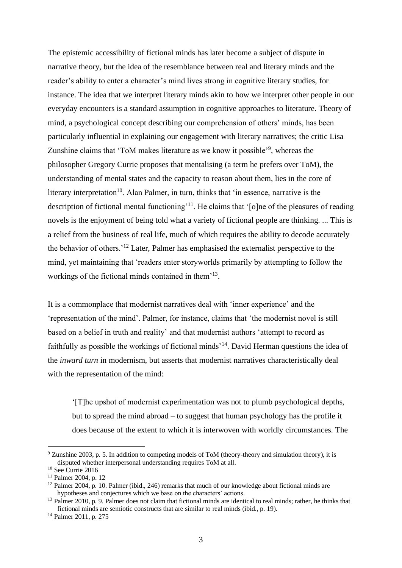The epistemic accessibility of fictional minds has later become a subject of dispute in narrative theory, but the idea of the resemblance between real and literary minds and the reader's ability to enter a character's mind lives strong in cognitive literary studies, for instance. The idea that we interpret literary minds akin to how we interpret other people in our everyday encounters is a standard assumption in cognitive approaches to literature. Theory of mind, a psychological concept describing our comprehension of others' minds, has been particularly influential in explaining our engagement with literary narratives; the critic Lisa Zunshine claims that 'ToM makes literature as we know it possible'<sup>9</sup>, whereas the philosopher Gregory Currie proposes that mentalising (a term he prefers over ToM), the understanding of mental states and the capacity to reason about them, lies in the core of literary interpretation<sup>10</sup>. Alan Palmer, in turn, thinks that 'in essence, narrative is the description of fictional mental functioning<sup>'11</sup>. He claims that '[o]ne of the pleasures of reading novels is the enjoyment of being told what a variety of fictional people are thinking. ... This is a relief from the business of real life, much of which requires the ability to decode accurately the behavior of others.'<sup>12</sup> Later, Palmer has emphasised the externalist perspective to the mind, yet maintaining that 'readers enter storyworlds primarily by attempting to follow the workings of the fictional minds contained in them'<sup>13</sup>.

It is a commonplace that modernist narratives deal with 'inner experience' and the 'representation of the mind'. Palmer, for instance, claims that 'the modernist novel is still based on a belief in truth and reality' and that modernist authors 'attempt to record as faithfully as possible the workings of fictional minds'<sup>14</sup>. David Herman questions the idea of the *inward turn* in modernism, but asserts that modernist narratives characteristically deal with the representation of the mind:

'[T]he upshot of modernist experimentation was not to plumb psychological depths, but to spread the mind abroad – to suggest that human psychology has the profile it does because of the extent to which it is interwoven with worldly circumstances. The

<sup>9</sup> Zunshine 2003, p. 5. In addition to competing models of ToM (theory-theory and simulation theory), it is disputed whether interpersonal understanding requires ToM at all.

<sup>10</sup> See Currie 2016

<sup>11</sup> Palmer 2004, p. 12

<sup>&</sup>lt;sup>12</sup> Palmer 2004, p. 10. Palmer (ibid., 246) remarks that much of our knowledge about fictional minds are hypotheses and conjectures which we base on the characters' actions.

<sup>&</sup>lt;sup>13</sup> Palmer 2010, p. 9. Palmer does not claim that fictional minds are identical to real minds; rather, he thinks that fictional minds are semiotic constructs that are similar to real minds (ibid., p. 19).

<sup>14</sup> Palmer 2011, p. 275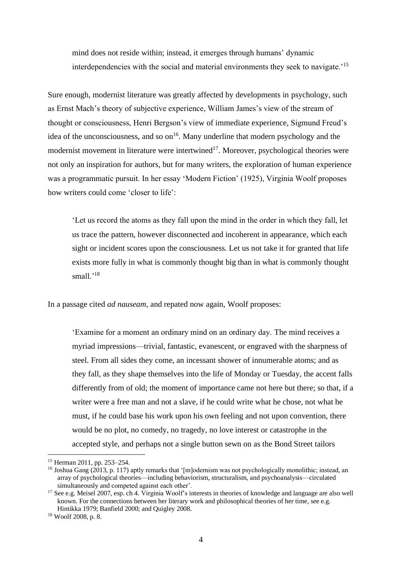mind does not reside within; instead, it emerges through humans' dynamic interdependencies with the social and material environments they seek to navigate.'<sup>15</sup>

Sure enough, modernist literature was greatly affected by developments in psychology, such as Ernst Mach's theory of subjective experience, William James's view of the stream of thought or consciousness, Henri Bergson's view of immediate experience, Sigmund Freud's idea of the unconsciousness, and so  $on<sup>16</sup>$ . Many underline that modern psychology and the modernist movement in literature were intertwined<sup>17</sup>. Moreover, psychological theories were not only an inspiration for authors, but for many writers, the exploration of human experience was a programmatic pursuit. In her essay 'Modern Fiction' (1925), Virginia Woolf proposes how writers could come 'closer to life':

'Let us record the atoms as they fall upon the mind in the order in which they fall, let us trace the pattern, however disconnected and incoherent in appearance, which each sight or incident scores upon the consciousness. Let us not take it for granted that life exists more fully in what is commonly thought big than in what is commonly thought small.'<sup>18</sup>

In a passage cited *ad nauseam*, and repated now again, Woolf proposes:

'Examine for a moment an ordinary mind on an ordinary day. The mind receives a myriad impressions—trivial, fantastic, evanescent, or engraved with the sharpness of steel. From all sides they come, an incessant shower of innumerable atoms; and as they fall, as they shape themselves into the life of Monday or Tuesday, the accent falls differently from of old; the moment of importance came not here but there; so that, if a writer were a free man and not a slave, if he could write what he chose, not what he must, if he could base his work upon his own feeling and not upon convention, there would be no plot, no comedy, no tragedy, no love interest or catastrophe in the accepted style, and perhaps not a single button sewn on as the Bond Street tailors

<sup>15</sup> Herman 2011, pp. 253–254.

<sup>&</sup>lt;sup>16</sup> Joshua Gang (2013, p. 117) aptly remarks that '[m]odernism was not psychologically monolithic; instead, an array of psychological theories—including behaviorism, structuralism, and psychoanalysis—circulated simultaneously and competed against each other'.

<sup>&</sup>lt;sup>17</sup> See e.g. Meisel 2007, esp. ch 4. Virginia Woolf's interests in theories of knowledge and language are also well known. For the connections between her literary work and philosophical theories of her time, see e.g. Hintikka 1979; Banfield 2000; and Quigley 2008.

<sup>18</sup> Woolf 2008, p. 8.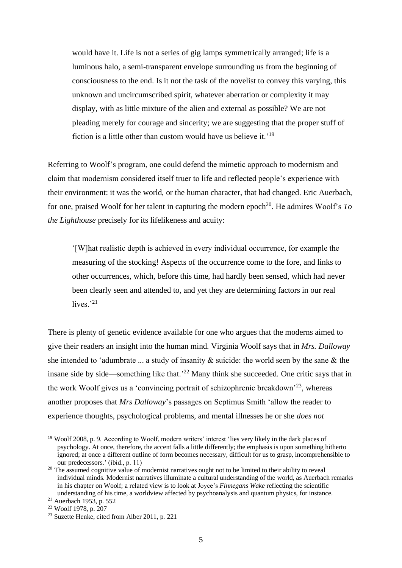would have it. Life is not a series of gig lamps symmetrically arranged; life is a luminous halo, a semi-transparent envelope surrounding us from the beginning of consciousness to the end. Is it not the task of the novelist to convey this varying, this unknown and uncircumscribed spirit, whatever aberration or complexity it may display, with as little mixture of the alien and external as possible? We are not pleading merely for courage and sincerity; we are suggesting that the proper stuff of fiction is a little other than custom would have us believe it.'<sup>19</sup>

Referring to Woolf's program, one could defend the mimetic approach to modernism and claim that modernism considered itself truer to life and reflected people's experience with their environment: it was the world, or the human character, that had changed. Eric Auerbach, for one, praised Woolf for her talent in capturing the modern epoch<sup>20</sup>. He admires Woolf's  $To$ *the Lighthouse* precisely for its lifelikeness and acuity:

'[W]hat realistic depth is achieved in every individual occurrence, for example the measuring of the stocking! Aspects of the occurrence come to the fore, and links to other occurrences, which, before this time, had hardly been sensed, which had never been clearly seen and attended to, and yet they are determining factors in our real lives. $^{21}$ 

There is plenty of genetic evidence available for one who argues that the moderns aimed to give their readers an insight into the human mind. Virginia Woolf says that in *Mrs. Dalloway* she intended to 'adumbrate ... a study of insanity & suicide: the world seen by the sane & the insane side by side—something like that.<sup> $22$ </sup> Many think she succeeded. One critic says that in the work Woolf gives us a 'convincing portrait of schizophrenic breakdown'<sup>23</sup>, whereas another proposes that *Mrs Dalloway*'s passages on Septimus Smith 'allow the reader to experience thoughts, psychological problems, and mental illnesses he or she *does not* 

<sup>&</sup>lt;sup>19</sup> Woolf 2008, p. 9. According to Woolf, modern writers' interest 'lies very likely in the dark places of psychology. At once, therefore, the accent falls a little differently; the emphasis is upon something hitherto ignored; at once a different outline of form becomes necessary, difficult for us to grasp, incomprehensible to our predecessors.' (ibid., p. 11)

<sup>&</sup>lt;sup>20</sup> The assumed cognitive value of modernist narratives ought not to be limited to their ability to reveal individual minds. Modernist narratives illuminate a cultural understanding of the world, as Auerbach remarks in his chapter on Woolf; a related view is to look at Joyce's *Finnegans Wake* reflecting the scientific understanding of his time, a worldview affected by psychoanalysis and quantum physics, for instance.

<sup>21</sup> Auerbach 1953, p. 552

<sup>22</sup> Woolf 1978, p. 207

<sup>23</sup> Suzette Henke, cited from Alber 2011, p. 221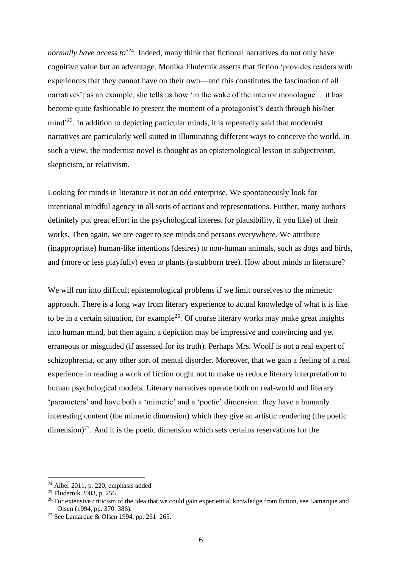*normally have access to*' <sup>24</sup>. Indeed, many think that fictional narratives do not only have cognitive value but an advantage. Monika Fludernik asserts that fiction 'provides readers with experiences that they cannot have on their own—and this constitutes the fascination of all narratives'; as an example, she tells us how 'in the wake of the interior monologue ... it has become quite fashionable to present the moment of a protagonist's death through his/her mind'<sup>25</sup>. In addition to depicting particular minds, it is repeatedly said that modernist narratives are particularly well suited in illuminating different ways to conceive the world. In such a view, the modernist novel is thought as an epistemological lesson in subjectivism, skepticism, or relativism.

Looking for minds in literature is not an odd enterprise. We spontaneously look for intentional mindful agency in all sorts of actions and representations. Further, many authors definitely put great effort in the psychological interest (or plausibility, if you like) of their works. Then again, we are eager to see minds and persons everywhere. We attribute (inappropriate) human-like intentions (desires) to non-human animals, such as dogs and birds, and (more or less playfully) even to plants (a stubborn tree). How about minds in literature?

We will run into difficult epistemological problems if we limit ourselves to the mimetic approach. There is a long way from literary experience to actual knowledge of what it is like to be in a certain situation, for example<sup>26</sup>. Of course literary works may make great insights into human mind, but then again, a depiction may be impressive and convincing and yet erraneous or misguided (if assessed for its truth). Perhaps Mrs. Woolf is not a real expert of schizophrenia, or any other sort of mental disorder. Moreover, that we gain a feeling of a real experience in reading a work of fiction ought not to make us reduce literary interpretation to human psychological models. Literary narratives operate both on real-world and literary 'parameters' and have both a 'mimetic' and a 'poetic' dimension: they have a humanly interesting content (the mimetic dimension) which they give an artistic rendering (the poetic  $\dim$ ension)<sup>27</sup>. And it is the poetic dimension which sets certains reservations for the

 $24$  Alber 2011, p. 220; emphasis added

<sup>25</sup> Fludernik 2003, p. 256

<sup>&</sup>lt;sup>26</sup> For extensive criticism of the idea that we could gain experiential knowledge from fiction, see Lamarque and Olsen (1994, pp. 370–386).

<sup>&</sup>lt;sup>27</sup> See Lamarque & Olsen 1994, pp. 261–265.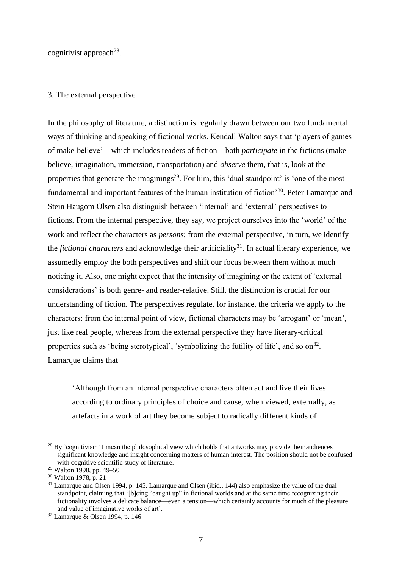cognitivist approach<sup>28</sup>.

#### 3. The external perspective

In the philosophy of literature, a distinction is regularly drawn between our two fundamental ways of thinking and speaking of fictional works. Kendall Walton says that 'players of games of make-believe'—which includes readers of fiction—both *participate* in the fictions (makebelieve, imagination, immersion, transportation) and *observe* them, that is, look at the properties that generate the imaginings<sup>29</sup>. For him, this 'dual standpoint' is 'one of the most fundamental and important features of the human institution of fiction'<sup>30</sup>. Peter Lamarque and Stein Haugom Olsen also distinguish between 'internal' and 'external' perspectives to fictions. From the internal perspective, they say, we project ourselves into the 'world' of the work and reflect the characters as *persons*; from the external perspective, in turn, we identify the *fictional characters* and acknowledge their artificiality<sup>31</sup>. In actual literary experience, we assumedly employ the both perspectives and shift our focus between them without much noticing it. Also, one might expect that the intensity of imagining or the extent of 'external considerations' is both genre- and reader-relative. Still, the distinction is crucial for our understanding of fiction. The perspectives regulate, for instance, the criteria we apply to the characters: from the internal point of view, fictional characters may be 'arrogant' or 'mean', just like real people, whereas from the external perspective they have literary-critical properties such as 'being sterotypical', 'symbolizing the futility of life', and so  $\text{on}^{32}$ . Lamarque claims that

'Although from an internal perspective characters often act and live their lives according to ordinary principles of choice and cause, when viewed, externally, as artefacts in a work of art they become subject to radically different kinds of

 $^{28}$  By 'cognitivism' I mean the philosophical view which holds that artworks may provide their audiences significant knowledge and insight concerning matters of human interest. The position should not be confused with cognitive scientific study of literature.

<sup>29</sup> Walton 1990, pp. 49–50

<sup>30</sup> Walton 1978, p. 21

<sup>&</sup>lt;sup>31</sup> Lamarque and Olsen 1994, p. 145. Lamarque and Olsen (ibid., 144) also emphasize the value of the dual standpoint, claiming that '[b]eing "caught up" in fictional worlds and at the same time recognizing their fictionality involves a delicate balance—even a tension—which certainly accounts for much of the pleasure and value of imaginative works of art'.

<sup>32</sup> Lamarque & Olsen 1994, p. 146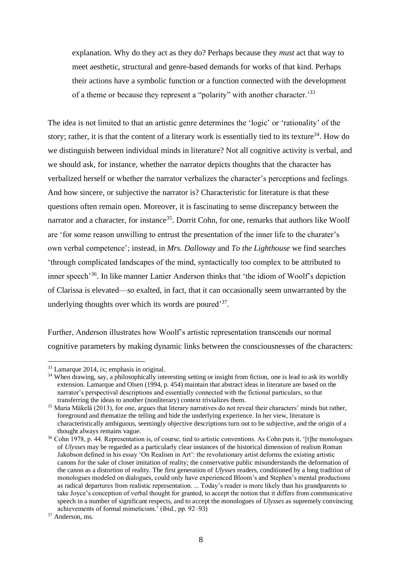explanation. Why do they act as they do? Perhaps because they *must* act that way to meet aesthetic, structural and genre-based demands for works of that kind. Perhaps their actions have a symbolic function or a function connected with the development of a theme or because they represent a "polarity" with another character.'<sup>33</sup>

The idea is not limited to that an artistic genre determines the 'logic' or 'rationality' of the story; rather, it is that the content of a literary work is essentially tied to its texture<sup>34</sup>. How do we distinguish between individual minds in literature? Not all cognitive activity is verbal, and we should ask, for instance, whether the narrator depicts thoughts that the character has verbalized herself or whether the narrator verbalizes the character's perceptions and feelings. And how sincere, or subjective the narrator is? Characteristic for literature is that these questions often remain open. Moreover, it is fascinating to sense discrepancy between the narrator and a character, for instance<sup>35</sup>. Dorrit Cohn, for one, remarks that authors like Woolf are 'for some reason unwilling to entrust the presentation of the inner life to the charater's own verbal competence'; instead, in *Mrs. Dalloway* and *To the Lighthouse* we find searches 'through complicated landscapes of the mind, syntactically too complex to be attributed to inner speech<sup>36</sup>. In like manner Lanier Anderson thinks that 'the idiom of Woolf's depiction of Clarissa is elevated—*so* exalted, in fact, that it can occasionally seem unwarranted by the underlying thoughts over which its words are poured<sup>37</sup>.

Further, Anderson illustrates how Woolf's artistic representation transcends our normal cognitive parameters by making dynamic links between the consciousnesses of the characters:

<sup>33</sup> Lamarque 2014, ix; emphasis in original.

<sup>&</sup>lt;sup>34</sup> When drawing, say, a philosophically interesting setting or insight from fiction, one is lead to ask its worldly extension. Lamarque and Olsen (1994, p. 454) maintain that abstract ideas in literature are based on the narrator's perspectival descriptions and essentially connected with the fictional particulars, so that transferring the ideas to another (nonliterary) context trivializes them.

<sup>&</sup>lt;sup>35</sup> Maria Mäkelä (2013), for one, argues that literary narratives do not reveal their characters' minds but rather, foreground and thematize the telling and hide the underlying experience. In her view, literature is characteristically ambiguous, seemingly objective descriptions turn out to be subjective, and the origin of a thought always remains vague.

<sup>&</sup>lt;sup>36</sup> Cohn 1978, p. 44. Representation is, of course, tied to artistic conventions. As Cohn puts it, '[t]he monologues of *Ulysses* may be regarded as a particularly clear instances of the historical dimension of realism Roman Jakobson defined in his essay 'On Realism in Art': the revolutionary artist deforms the existing artistic canons for the sake of closer imitation of reality; the conservative public misunderstands the deformation of the canon as a distortion of reality. The first generation of *Ulysses* readers, conditioned by a long tradition of monologues modeled on dialogues, could only have experienced Bloom's and Stephen's mental productions as radical departures from realistic representation. ... Today's reader is more likely than his grandparents to take Joyce's conception of verbal thought for granted, to accept the notion that it differs from communicative speech in a number of significant respects, and to accept the monologues of *Ulysses* as supremely convincing achievements of formal mimeticism.' (ibid., pp. 92–93)

<sup>&</sup>lt;sup>37</sup> Anderson, ms.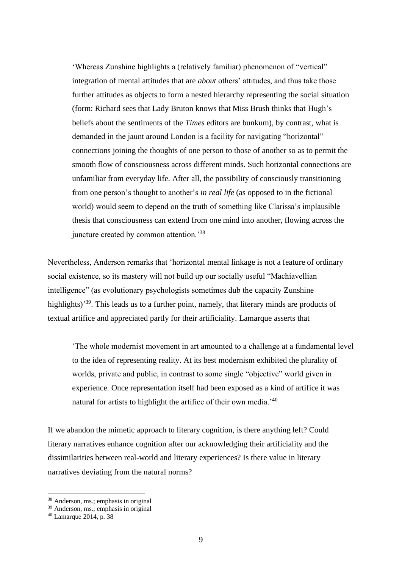'Whereas Zunshine highlights a (relatively familiar) phenomenon of "vertical" integration of mental attitudes that are *about* others' attitudes, and thus take those further attitudes as objects to form a nested hierarchy representing the social situation (form: Richard sees that Lady Bruton knows that Miss Brush thinks that Hugh's beliefs about the sentiments of the *Times* editors are bunkum), by contrast, what is demanded in the jaunt around London is a facility for navigating "horizontal" connections joining the thoughts of one person to those of another so as to permit the smooth flow of consciousness across different minds. Such horizontal connections are unfamiliar from everyday life. After all, the possibility of consciously transitioning from one person's thought to another's *in real life* (as opposed to in the fictional world) would seem to depend on the truth of something like Clarissa's implausible thesis that consciousness can extend from one mind into another, flowing across the juncture created by common attention.<sup>38</sup>

Nevertheless, Anderson remarks that 'horizontal mental linkage is not a feature of ordinary social existence, so its mastery will not build up our socially useful "Machiavellian intelligence" (as evolutionary psychologists sometimes dub the capacity Zunshine highlights)<sup>39</sup>. This leads us to a further point, namely, that literary minds are products of textual artifice and appreciated partly for their artificiality. Lamarque asserts that

'The whole modernist movement in art amounted to a challenge at a fundamental level to the idea of representing reality. At its best modernism exhibited the plurality of worlds, private and public, in contrast to some single "objective" world given in experience. Once representation itself had been exposed as a kind of artifice it was natural for artists to highlight the artifice of their own media.'<sup>40</sup>

If we abandon the mimetic approach to literary cognition, is there anything left? Could literary narratives enhance cognition after our acknowledging their artificiality and the dissimilarities between real-world and literary experiences? Is there value in literary narratives deviating from the natural norms?

<sup>38</sup> Anderson, ms.; emphasis in original

<sup>39</sup> Anderson, ms.; emphasis in original

<sup>40</sup> Lamarque 2014, p. 38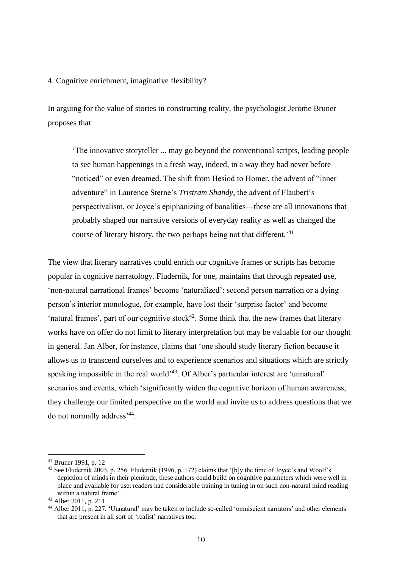#### 4. Cognitive enrichment, imaginative flexibility?

In arguing for the value of stories in constructing reality, the psychologist Jerome Bruner proposes that

'The innovative storyteller ... may go beyond the conventional scripts, leading people to see human happenings in a fresh way, indeed, in a way they had never before "noticed" or even dreamed. The shift from Hesiod to Homer, the advent of "inner adventure" in Laurence Sterne's *Tristram Shandy*, the advent of Flaubert's perspectivalism, or Joyce's epiphanizing of banalities—these are all innovations that probably shaped our narrative versions of everyday reality as well as changed the course of literary history, the two perhaps being not that different.<sup>'41</sup>

The view that literary narratives could enrich our cognitive frames or scripts has become popular in cognitive narratology. Fludernik, for one, maintains that through repeated use, 'non-natural narrational frames' become 'naturalized': second person narration or a dying person's interior monologue, for example, have lost their 'surprise factor' and become 'natural frames', part of our cognitive stock<sup>42</sup>. Some think that the new frames that literary works have on offer do not limit to literary interpretation but may be valuable for our thought in general. Jan Alber, for instance, claims that 'one should study literary fiction because it allows us to transcend ourselves and to experience scenarios and situations which are strictly speaking impossible in the real world<sup>343</sup>. Of Alber's particular interest are 'unnatural' scenarios and events, which 'significantly widen the cognitive horizon of human awareness; they challenge our limited perspective on the world and invite us to address questions that we do not normally address'<sup>44</sup> .

<sup>41</sup> Bruner 1991, p. 12

<sup>42</sup> See Fludernik 2003, p. 256. Fludernik (1996, p. 172) claims that '[b]y the time of Joyce's and Woolf's depiction of minds in their plenitude, these authors could build on cognitive parameters which were well in place and available for use: readers had considerable training in tuning in on such non-natural mind reading within a natural frame'.

<sup>43</sup> Alber 2011, p. 211

<sup>44</sup> Alber 2011, p. 227. 'Unnatural' may be taken to include so-called 'omniscient narrators' and other elements that are present in all sort of 'realist' narratives too.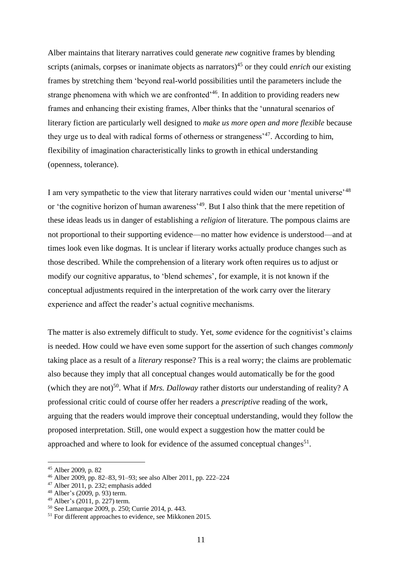Alber maintains that literary narratives could generate *new* cognitive frames by blending scripts (animals, corpses or inanimate objects as narrators)<sup>45</sup> or they could *enrich* our existing frames by stretching them 'beyond real-world possibilities until the parameters include the strange phenomena with which we are confronted<sup>-46</sup>. In addition to providing readers new frames and enhancing their existing frames, Alber thinks that the 'unnatural scenarios of literary fiction are particularly well designed to *make us more open and more flexible* because they urge us to deal with radical forms of otherness or strangeness'<sup>47</sup>. According to him, flexibility of imagination characteristically links to growth in ethical understanding (openness, tolerance).

I am very sympathetic to the view that literary narratives could widen our 'mental universe'<sup>48</sup> or 'the cognitive horizon of human awareness'<sup>49</sup>. But I also think that the mere repetition of these ideas leads us in danger of establishing a *religion* of literature. The pompous claims are not proportional to their supporting evidence—no matter how evidence is understood—and at times look even like dogmas. It is unclear if literary works actually produce changes such as those described. While the comprehension of a literary work often requires us to adjust or modify our cognitive apparatus, to 'blend schemes', for example, it is not known if the conceptual adjustments required in the interpretation of the work carry over the literary experience and affect the reader's actual cognitive mechanisms.

The matter is also extremely difficult to study. Yet, *some* evidence for the cognitivist's claims is needed. How could we have even some support for the assertion of such changes *commonly* taking place as a result of a *literary* response? This is a real worry; the claims are problematic also because they imply that all conceptual changes would automatically be for the good (which they are not)<sup>50</sup>. What if *Mrs. Dalloway* rather distorts our understanding of reality? A professional critic could of course offer her readers a *prescriptive* reading of the work, arguing that the readers would improve their conceptual understanding, would they follow the proposed interpretation. Still, one would expect a suggestion how the matter could be approached and where to look for evidence of the assumed conceptual changes<sup>51</sup>.

<sup>45</sup> Alber 2009, p. 82

<sup>46</sup> Alber 2009, pp. 82–83, 91–93; see also Alber 2011, pp. 222–224

 $47$  Alber 2011, p. 232; emphasis added

<sup>48</sup> Alber's (2009, p. 93) term.

<sup>49</sup> Alber's (2011, p. 227) term.

<sup>50</sup> See Lamarque 2009, p. 250; Currie 2014, p. 443.

<sup>51</sup> For different approaches to evidence, see Mikkonen 2015.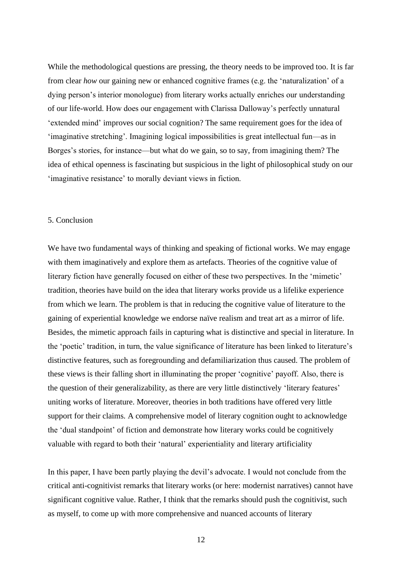While the methodological questions are pressing, the theory needs to be improved too. It is far from clear *how* our gaining new or enhanced cognitive frames (e.g. the 'naturalization' of a dying person's interior monologue) from literary works actually enriches our understanding of our life-world. How does our engagement with Clarissa Dalloway's perfectly unnatural 'extended mind' improves our social cognition? The same requirement goes for the idea of 'imaginative stretching'. Imagining logical impossibilities is great intellectual fun—as in Borges's stories, for instance—but what do we gain, so to say, from imagining them? The idea of ethical openness is fascinating but suspicious in the light of philosophical study on our 'imaginative resistance' to morally deviant views in fiction.

## 5. Conclusion

We have two fundamental ways of thinking and speaking of fictional works. We may engage with them imaginatively and explore them as artefacts. Theories of the cognitive value of literary fiction have generally focused on either of these two perspectives. In the 'mimetic' tradition, theories have build on the idea that literary works provide us a lifelike experience from which we learn. The problem is that in reducing the cognitive value of literature to the gaining of experiential knowledge we endorse naïve realism and treat art as a mirror of life. Besides, the mimetic approach fails in capturing what is distinctive and special in literature. In the 'poetic' tradition, in turn, the value significance of literature has been linked to literature's distinctive features, such as foregrounding and defamiliarization thus caused. The problem of these views is their falling short in illuminating the proper 'cognitive' payoff. Also, there is the question of their generalizability, as there are very little distinctively 'literary features' uniting works of literature. Moreover, theories in both traditions have offered very little support for their claims. A comprehensive model of literary cognition ought to acknowledge the 'dual standpoint' of fiction and demonstrate how literary works could be cognitively valuable with regard to both their 'natural' experientiality and literary artificiality

In this paper, I have been partly playing the devil's advocate. I would not conclude from the critical anti-cognitivist remarks that literary works (or here: modernist narratives) cannot have significant cognitive value. Rather, I think that the remarks should push the cognitivist, such as myself, to come up with more comprehensive and nuanced accounts of literary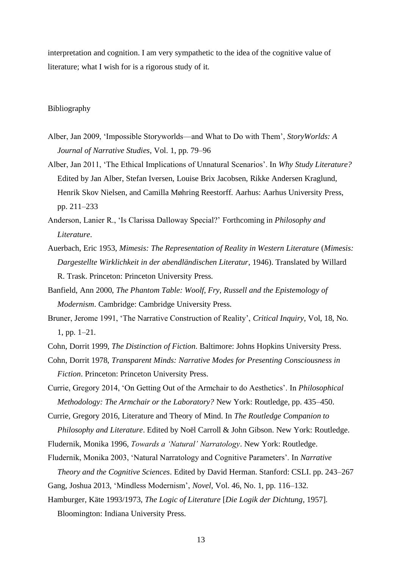interpretation and cognition. I am very sympathetic to the idea of the cognitive value of literature; what I wish for is a rigorous study of it.

# Bibliography

- Alber, Jan 2009, 'Impossible Storyworlds—and What to Do with Them', *StoryWorlds: A Journal of Narrative Studies*, Vol. 1, pp. 79–96
- Alber, Jan 2011, 'The Ethical Implications of Unnatural Scenarios'. In *Why Study Literature?* Edited by Jan Alber, Stefan Iversen, Louise Brix Jacobsen, Rikke Andersen Kraglund, Henrik Skov Nielsen, and Camilla Møhring Reestorff. Aarhus: Aarhus University Press, pp. 211–233
- Anderson, Lanier R., 'Is Clarissa Dalloway Special?' Forthcoming in *Philosophy and Literature*.
- Auerbach, Eric 1953, *Mimesis: The Representation of Reality in Western Literature* (*Mimesis: Dargestellte Wirklichkeit in der abendländischen Literatur*, 1946). Translated by Willard R. Trask. Princeton: Princeton University Press.
- Banfield, Ann 2000, *The Phantom Table: Woolf, Fry, Russell and the Epistemology of Modernism*. Cambridge: Cambridge University Press.
- Bruner, Jerome 1991, 'The Narrative Construction of Reality', *Critical Inquiry*, Vol, 18, No. 1, pp. 1–21.
- Cohn, Dorrit 1999, *The Distinction of Fiction*. Baltimore: Johns Hopkins University Press.
- Cohn, Dorrit 1978, *Transparent Minds: Narrative Modes for Presenting Consciousness in Fiction*. Princeton: Princeton University Press.
- Currie, Gregory 2014, 'On Getting Out of the Armchair to do Aesthetics'. In *Philosophical Methodology: The Armchair or the Laboratory?* New York: Routledge, pp. 435–450.

Currie, Gregory 2016, Literature and Theory of Mind. In *The Routledge Companion to Philosophy and Literature*. Edited by Noël Carroll & John Gibson. New York: Routledge.

Fludernik, Monika 1996, *Towards a 'Natural' Narratology*. New York: Routledge.

Fludernik, Monika 2003, 'Natural Narratology and Cognitive Parameters'. In *Narrative* 

*Theory and the Cognitive Sciences*. Edited by David Herman. Stanford: CSLI. pp. 243–267

Gang, Joshua 2013, 'Mindless Modernism', *Novel*, Vol. 46, No. 1, pp. 116–132.

Hamburger, Käte 1993/1973, *The Logic of Literature* [*Die Logik der Dichtung*, 1957].

Bloomington: Indiana University Press.